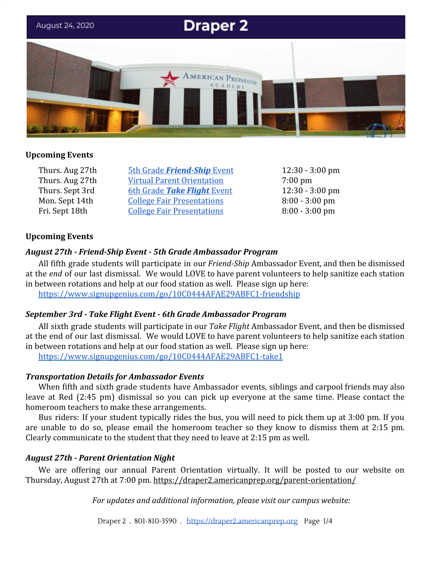

# **Upcoming Events**

Thurs. Aug 27th [5th Grade](#page-0-0) *[Friend-Ship](#page-0-0)* [Event](#page-0-0) 12:30 - 3:00 pm Thurs. Aug 27th [Virtual Parent Orientation](#page-0-1) 7:00 pm Thurs. Sept 3rd [6th Grade](#page-0-2) **[Take Flight](#page-0-2)** [Event](#page-0-2) 12:30 - 3:00 pm Mon. Sept 14th [College Fair Presentations](#page-2-0) 8:00 - 3:00 pm Fri. Sept 18th [College Fair Presentations](#page-2-0) 8:00 - 3:00 pm

## **Upcoming Events**

## <span id="page-0-0"></span>*August 27th - Friend-Ship Event - 5th Grade Ambassador Program*

All fifth grade students will participate in our *Friend-Ship* Ambassador Event, and then be dismissed at the *end* of our last dismissal. We would LOVE to have parent volunteers to help sanitize each station in between rotations and help at our food station as well. Please sign up here:

<https://www.signupgenius.com/go/10C0444AFAE29ABFC1-friendship>

## <span id="page-0-2"></span>*September 3rd - Take Flight Event - 6th Grade Ambassador Program*

All sixth grade students will participate in our *Take Flight* Ambassador Event, and then be dismissed at the end of our last dismissal. We would LOVE to have parent volunteers to help sanitize each station in between rotations and help at our food station as well. Please sign up here:

<https://www.signupgenius.com/go/10C0444AFAE29ABFC1-take1>

## *Transportation Details for Ambassador Events*

When fifth and sixth grade students have Ambassador events, siblings and carpool friends may also leave at Red (2:45 pm) dismissal so you can pick up everyone at the same time. Please contact the homeroom teachers to make these arrangements.

Bus riders: If your student typically rides the bus, you will need to pick them up at 3:00 pm. If you are unable to do so, please email the homeroom teacher so they know to dismiss them at 2:15 pm. Clearly communicate to the student that they need to leave at 2:15 pm as well.

## <span id="page-0-1"></span>*August 27th - Parent Orientation Night*

We are offering our annual Parent Orientation virtually. It will be posted to our website on Thursday, August 27th at 7:00 pm.<https://draper2.americanprep.org/parent-orientation/>

*For updates and additional information, please visit our campus website:*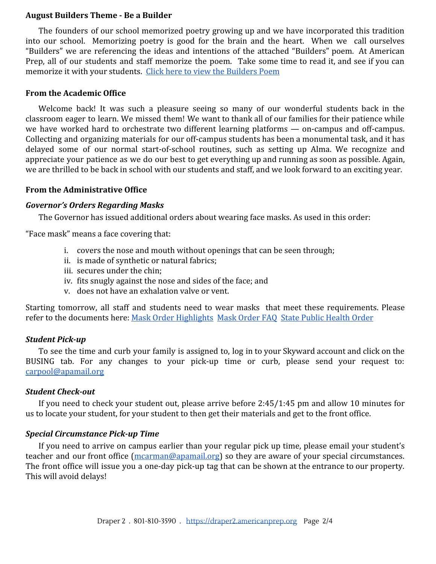## **August Builders Theme - Be a Builder**

The founders of our school memorized poetry growing up and we have incorporated this tradition into our school. Memorizing poetry is good for the brain and the heart. When we call ourselves "Builders" we are referencing the ideas and intentions of the attached "Builders" poem. At American Prep, all of our students and staff memorize the poem. Take some time to read it, and see if you can memorize it with your students. [Click here to view the Builders Poem](https://draper2.americanprep.org/be-a-builder/)

### **From the Academic Office**

Welcome back! It was such a pleasure seeing so many of our wonderful students back in the classroom eager to learn. We missed them! We want to thank all of our families for their patience while we have worked hard to orchestrate two different learning platforms — on-campus and off-campus. Collecting and organizing materials for our off-campus students has been a monumental task, and it has delayed some of our normal start-of-school routines, such as setting up Alma. We recognize and appreciate your patience as we do our best to get everything up and running as soon as possible. Again, we are thrilled to be back in school with our students and staff, and we look forward to an exciting year.

## **From the Administrative Office**

#### *Governor's Orders Regarding Masks*

The Governor has issued additional orders about wearing face masks. As used in this order:

"Face mask" means a face covering that:

- i. covers the nose and mouth without openings that can be seen through;
- ii. is made of synthetic or natural fabrics;
- iii. secures under the chin;
- iv. fits snugly against the nose and sides of the face; and
- v. does not have an exhalation valve or vent.

Starting tomorrow, all staff and students need to wear masks that meet these requirements. Please refer to the documents here: [Mask Order Highlights](https://draper2.americanprep.org/wp-content/uploads/sites/3/2020/08/CS-Highlights-of-Mask_Order_FAQ_08.20.2020.pdf) [Mask Order FAQ](https://draper2.americanprep.org/wp-content/uploads/sites/3/2020/08/Mask_Order_FAQ.pdf) [State Public Health Order](https://draper2.americanprep.org/wp-content/uploads/sites/3/2020/08/State-Public-Health-Order-UPHO-2020-11-v.2.pdf)

### *Student Pick-up*

To see the time and curb your family is assigned to, log in to your Skyward account and click on the BUSING tab. For any changes to your pick-up time or curb, please send your request to: [carpool@apamail.org](mailto:carpool@apamail.org)

## *Student Check-out*

If you need to check your student out, please arrive before 2:45/1:45 pm and allow 10 minutes for us to locate your student, for your student to then get their materials and get to the front office.

#### *Special Circumstance Pick-up Time*

If you need to arrive on campus earlier than your regular pick up time, please email your student's teacher and our front office [\(mcarman@apamail.org](mailto:mcarman@apamail.org)) so they are aware of your special circumstances. The front office will issue you a one-day pick-up tag that can be shown at the entrance to our property. This will avoid delays!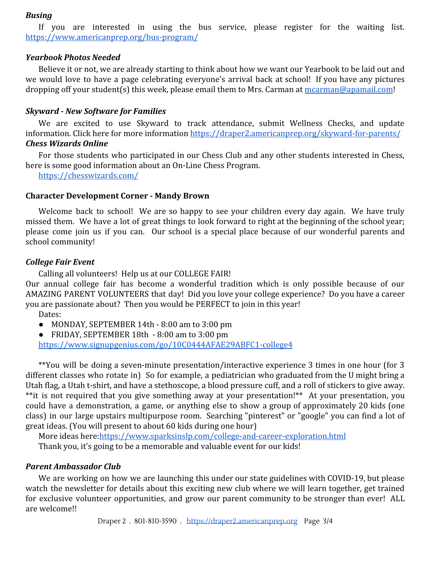## *Busing*

If you are interested in using the bus service, please register for the waiting list. <https://www.americanprep.org/bus-program/>

## *Yearbook Photos Needed*

Believe it or not, we are already starting to think about how we want our Yearbook to be laid out and we would love to have a page celebrating everyone's arrival back at school! If you have any pictures dropping off your student(s) this week, please email them to Mrs. Carman at [mcarman@apamail.com](mailto:mcarman@apamail.com)!

### *Skyward - New Software for Families*

We are excited to use Skyward to track attendance, submit Wellness Checks, and update information. Click here for more information<https://draper2.americanprep.org/skyward-for-parents/> *Chess Wizards Online*

For those students who participated in our Chess Club and any other students interested in Chess, here is some good information about an On-Line Chess Program.

<https://chesswizards.com/>

### **Character Development Corner - Mandy Brown**

Welcome back to school! We are so happy to see your children every day again. We have truly missed them. We have a lot of great things to look forward to right at the beginning of the school year; please come join us if you can. Our school is a special place because of our wonderful parents and school community!

### <span id="page-2-0"></span>*College Fair Event*

Calling all volunteers! Help us at our COLLEGE FAIR!

Our annual college fair has become a wonderful tradition which is only possible because of our AMAZING PARENT VOLUNTEERS that day! Did you love your college experience? Do you have a career you are passionate about? Then you would be PERFECT to join in this year!

Dates:

- MONDAY, SEPTEMBER 14th 8:00 am to 3:00 pm
- FRIDAY, SEPTEMBER 18th 8:00 am to 3:00 pm

<https://www.signupgenius.com/go/10C0444AFAE29ABFC1-college4>

\*\*You will be doing a seven-minute presentation/interactive experience 3 times in one hour (for 3 different classes who rotate in) So for example, a pediatrician who graduated from the U might bring a Utah flag, a Utah t-shirt, and have a stethoscope, a blood pressure cuff, and a roll of stickers to give away. \*\*it is not required that you give something away at your presentation!\*\* At your presentation, you could have a demonstration, a game, or anything else to show a group of approximately 20 kids (one class) in our large upstairs multipurpose room. Searching "pinterest" or "google" you can find a lot of great ideas. (You will present to about 60 kids during one hour)

More ideas here:<https://www.sparksinslp.com/college-and-career-exploration.html>

Thank you, it's going to be a memorable and valuable event for our kids!

# *Parent Ambassador Club*

We are working on how we are launching this under our state guidelines with COVID-19, but please watch the newsletter for details about this exciting new club where we will learn together, get trained for exclusive volunteer opportunities, and grow our parent community to be stronger than ever! ALL are welcome!!